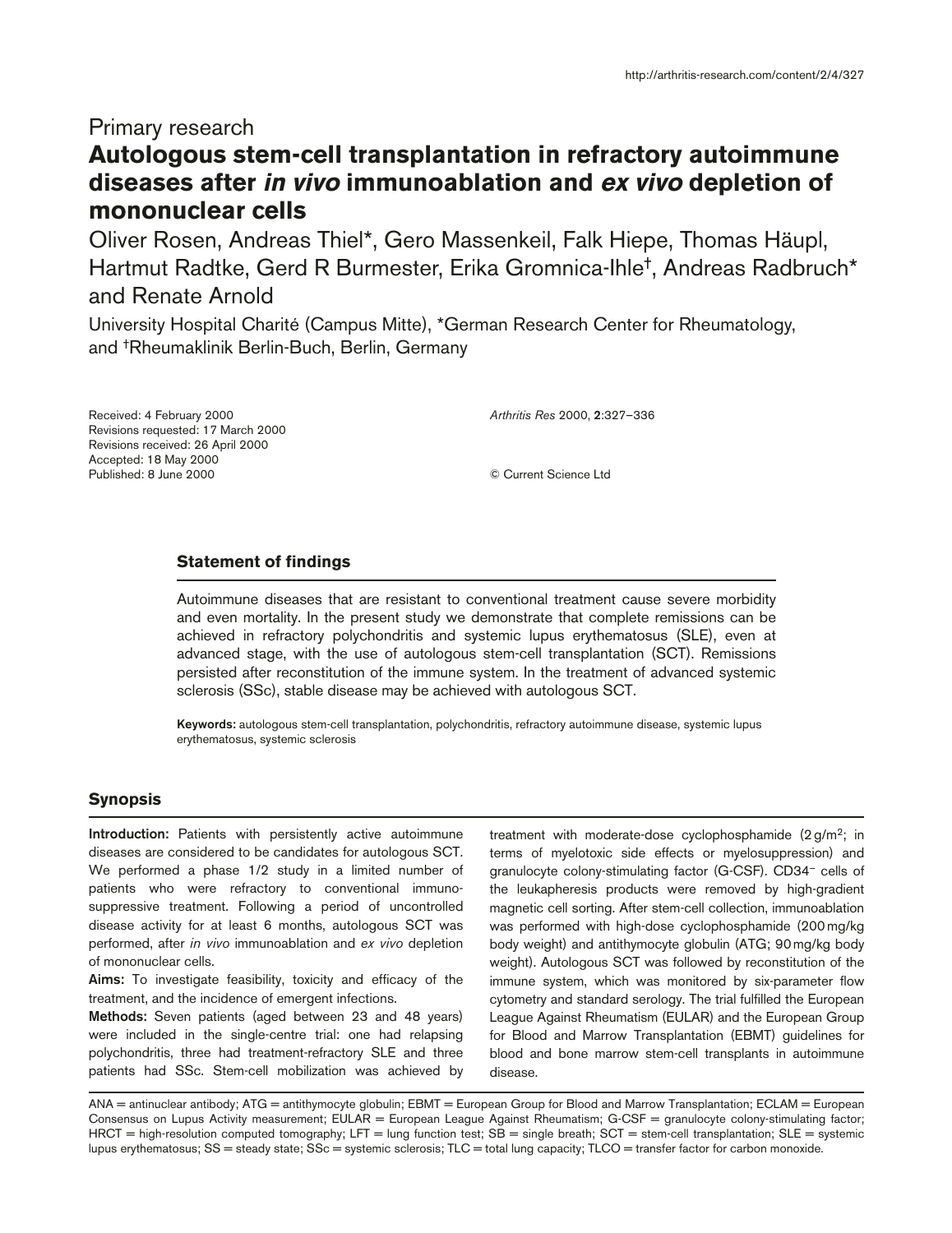## Primary research

# **Autologous stem-cell transplantation in refractory autoimmune diseases after in vivo immunoablation and ex vivo depletion of mononuclear cells**

Oliver Rosen, Andreas Thiel\*, Gero Massenkeil, Falk Hiepe, Thomas Häupl, Hartmut Radtke, Gerd R Burmester, Erika Gromnica-Ihle†, Andreas Radbruch\* and Renate Arnold

University Hospital Charité (Campus Mitte), \*German Research Center for Rheumatology, and †Rheumaklinik Berlin-Buch, Berlin, Germany

Received: 4 February 2000 Revisions requested: 17 March 2000 Revisions received: 26 April 2000 Accepted: 18 May 2000 Published: 8 June 2000

*Arthritis Res* 2000, **2**:327–336

© Current Science Ltd

## **Statement of findings**

Autoimmune diseases that are resistant to conventional treatment cause severe morbidity and even mortality. In the present study we demonstrate that complete remissions can be achieved in refractory polychondritis and systemic lupus erythematosus (SLE), even at advanced stage, with the use of autologous stem-cell transplantation (SCT). Remissions persisted after reconstitution of the immune system. In the treatment of advanced systemic sclerosis (SSc), stable disease may be achieved with autologous SCT.

**Keywords:** autologous stem-cell transplantation, polychondritis, refractory autoimmune disease, systemic lupus erythematosus, systemic sclerosis

## **Synopsis**

**Introduction:** Patients with persistently active autoimmune diseases are considered to be candidates for autologous SCT. We performed a phase 1/2 study in a limited number of patients who were refractory to conventional immunosuppressive treatment. Following a period of uncontrolled disease activity for at least 6 months, autologous SCT was performed, after *in vivo* immunoablation and *ex vivo* depletion of mononuclear cells.

**Aims:** To investigate feasibility, toxicity and efficacy of the treatment, and the incidence of emergent infections.

**Methods:** Seven patients (aged between 23 and 48 years) were included in the single-centre trial: one had relapsing polychondritis, three had treatment-refractory SLE and three patients had SSc. Stem-cell mobilization was achieved by

treatment with moderate-dose cyclophosphamide (2g/m2; in terms of myelotoxic side effects or myelosuppression) and granulocyte colony-stimulating factor (G-CSF). CD34– cells of the leukapheresis products were removed by high-gradient magnetic cell sorting. After stem-cell collection, immunoablation was performed with high-dose cyclophosphamide (200mg/kg body weight) and antithymocyte globulin (ATG; 90mg/kg body weight). Autologous SCT was followed by reconstitution of the immune system, which was monitored by six-parameter flow cytometry and standard serology. The trial fulfilled the European League Against Rheumatism (EULAR) and the European Group for Blood and Marrow Transplantation (EBMT) guidelines for blood and bone marrow stem-cell transplants in autoimmune disease.

ANA = antinuclear antibody; ATG = antithymocyte globulin; EBMT = European Group for Blood and Marrow Transplantation; ECLAM = European Consensus on Lupus Activity measurement; EULAR = European League Against Rheumatism; G-CSF = granulocyte colony-stimulating factor; HRCT = high-resolution computed tomography; LFT = lung function test; SB = single breath; SCT = stem-cell transplantation; SLE = systemic lupus erythematosus; SS = steady state; SSc = systemic sclerosis; TLC = total lung capacity; TLCO = transfer factor for carbon monoxide.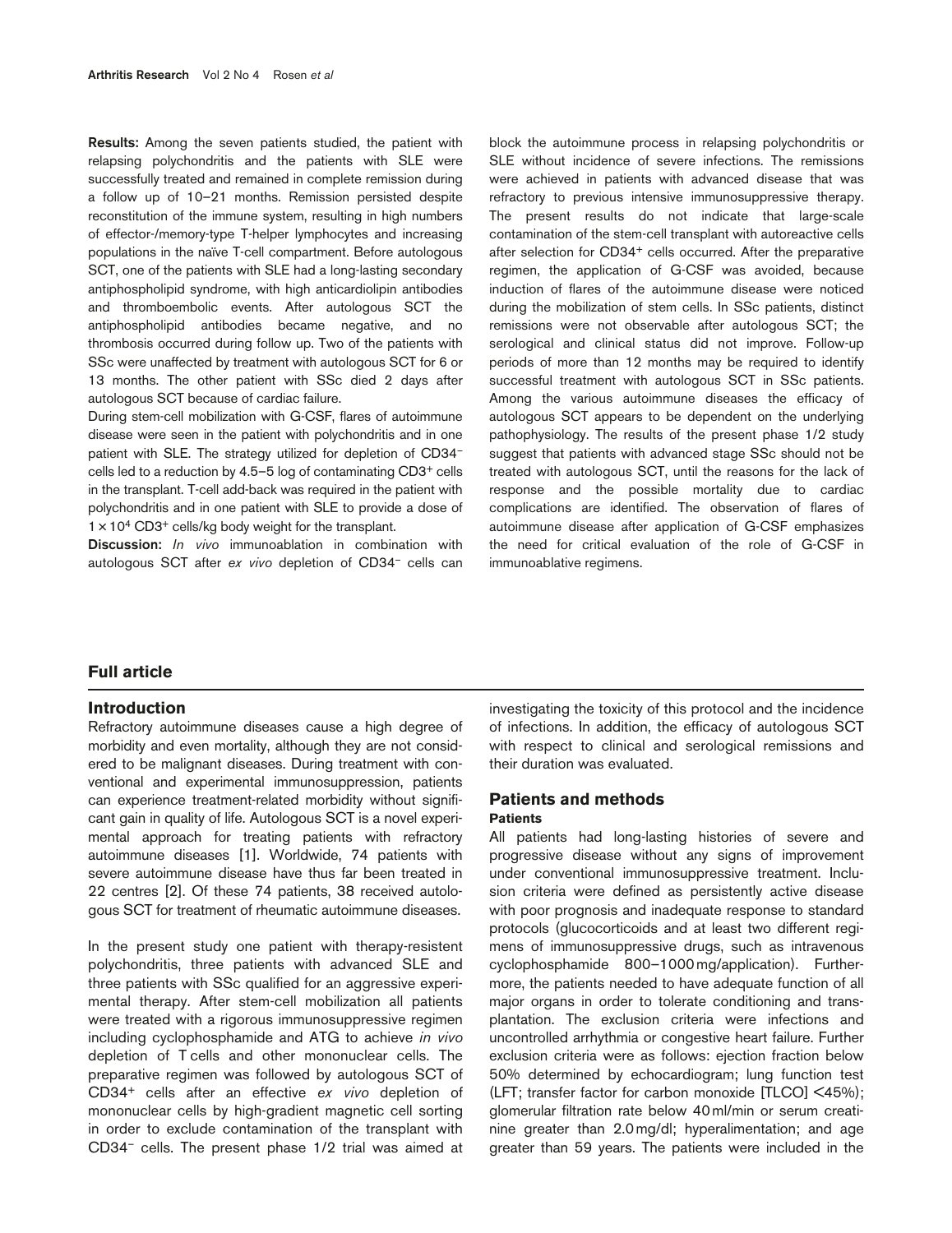**Results:** Among the seven patients studied, the patient with relapsing polychondritis and the patients with SLE were successfully treated and remained in complete remission during a follow up of 10–21 months. Remission persisted despite reconstitution of the immune system, resulting in high numbers of effector-/memory-type T-helper lymphocytes and increasing populations in the naïve T-cell compartment. Before autologous SCT, one of the patients with SLE had a long-lasting secondary antiphospholipid syndrome, with high anticardiolipin antibodies and thromboembolic events. After autologous SCT the antiphospholipid antibodies became negative, and no thrombosis occurred during follow up. Two of the patients with SSc were unaffected by treatment with autologous SCT for 6 or 13 months. The other patient with SSc died 2 days after autologous SCT because of cardiac failure.

During stem-cell mobilization with G-CSF, flares of autoimmune disease were seen in the patient with polychondritis and in one patient with SLE. The strategy utilized for depletion of CD34– cells led to a reduction by 4.5–5 log of contaminating CD3+ cells in the transplant. T-cell add-back was required in the patient with polychondritis and in one patient with SLE to provide a dose of  $1 \times 10^4$  CD3<sup>+</sup> cells/kg body weight for the transplant.

**Discussion:** *In vivo* immunoablation in combination with autologous SCT after *ex vivo* depletion of CD34– cells can

block the autoimmune process in relapsing polychondritis or SLE without incidence of severe infections. The remissions were achieved in patients with advanced disease that was refractory to previous intensive immunosuppressive therapy. The present results do not indicate that large-scale contamination of the stem-cell transplant with autoreactive cells after selection for CD34<sup>+</sup> cells occurred. After the preparative regimen, the application of G-CSF was avoided, because induction of flares of the autoimmune disease were noticed during the mobilization of stem cells. In SSc patients, distinct remissions were not observable after autologous SCT; the serological and clinical status did not improve. Follow-up periods of more than 12 months may be required to identify successful treatment with autologous SCT in SSc patients. Among the various autoimmune diseases the efficacy of autologous SCT appears to be dependent on the underlying pathophysiology. The results of the present phase 1/2 study suggest that patients with advanced stage SSc should not be treated with autologous SCT, until the reasons for the lack of response and the possible mortality due to cardiac complications are identified. The observation of flares of autoimmune disease after application of G-CSF emphasizes the need for critical evaluation of the role of G-CSF in immunoablative regimens.

## **Full article**

## **Introduction**

Refractory autoimmune diseases cause a high degree of morbidity and even mortality, although they are not considered to be malignant diseases. During treatment with conventional and experimental immunosuppression, patients can experience treatment-related morbidity without significant gain in quality of life. Autologous SCT is a novel experimental approach for treating patients with refractory autoimmune diseases [1]. Worldwide, 74 patients with severe autoimmune disease have thus far been treated in 22 centres [2]. Of these 74 patients, 38 received autologous SCT for treatment of rheumatic autoimmune diseases.

In the present study one patient with therapy-resistent polychondritis, three patients with advanced SLE and three patients with SSc qualified for an aggressive experimental therapy. After stem-cell mobilization all patients were treated with a rigorous immunosuppressive regimen including cyclophosphamide and ATG to achieve *in vivo* depletion of T cells and other mononuclear cells. The preparative regimen was followed by autologous SCT of CD34+ cells after an effective *ex vivo* depletion of mononuclear cells by high-gradient magnetic cell sorting in order to exclude contamination of the transplant with CD34– cells. The present phase 1/2 trial was aimed at

investigating the toxicity of this protocol and the incidence of infections. In addition, the efficacy of autologous SCT with respect to clinical and serological remissions and their duration was evaluated.

# **Patients and methods**

## **Patients**

All patients had long-lasting histories of severe and progressive disease without any signs of improvement under conventional immunosuppressive treatment. Inclusion criteria were defined as persistently active disease with poor prognosis and inadequate response to standard protocols (glucocorticoids and at least two different regimens of immunosuppressive drugs, such as intravenous cyclophosphamide 800–1000mg/application). Furthermore, the patients needed to have adequate function of all major organs in order to tolerate conditioning and transplantation. The exclusion criteria were infections and uncontrolled arrhythmia or congestive heart failure. Further exclusion criteria were as follows: ejection fraction below 50% determined by echocardiogram; lung function test (LFT; transfer factor for carbon monoxide [TLCO] <45%); glomerular filtration rate below 40ml/min or serum creatinine greater than 2.0mg/dl; hyperalimentation; and age greater than 59 years. The patients were included in the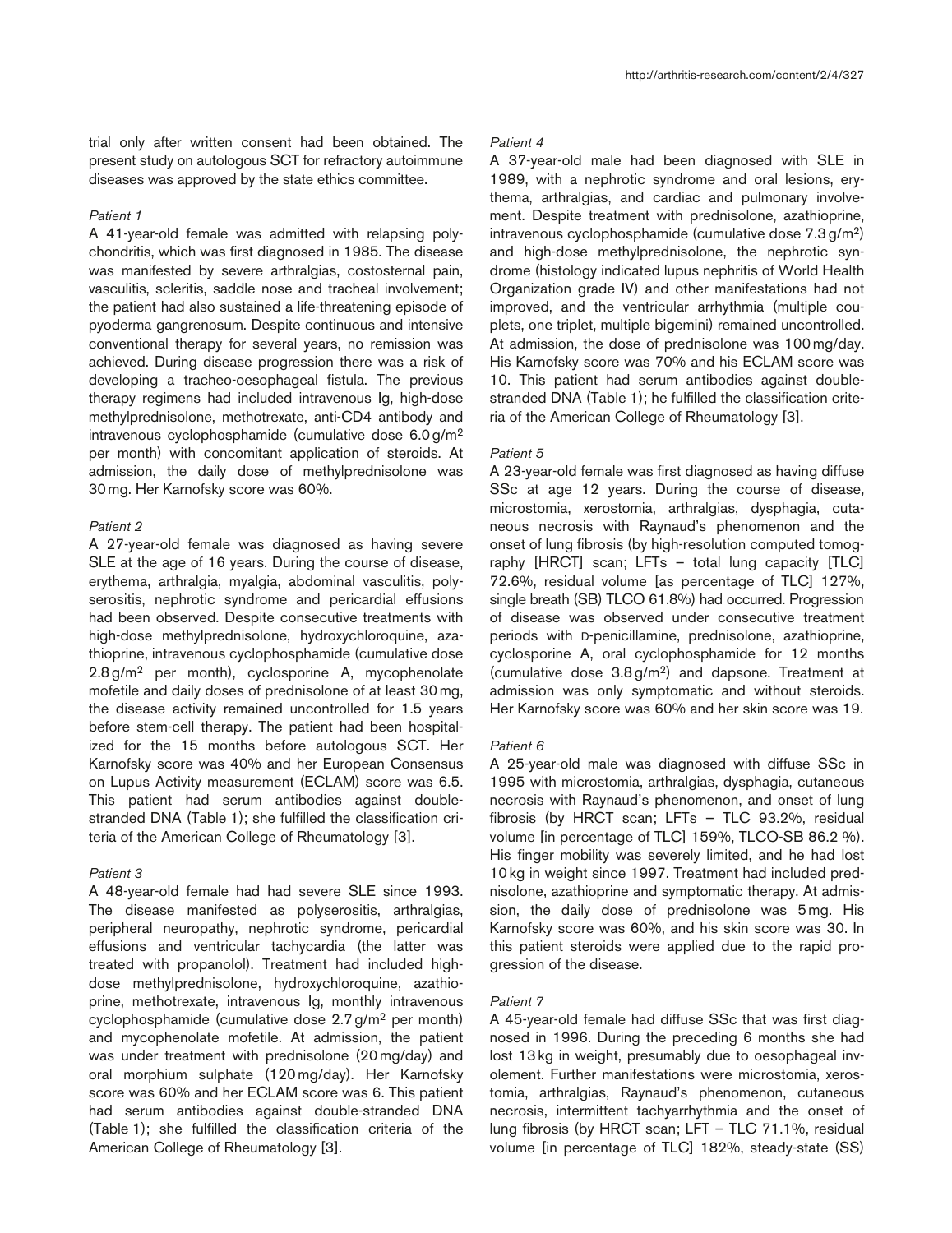trial only after written consent had been obtained. The present study on autologous SCT for refractory autoimmune diseases was approved by the state ethics committee.

### *Patient 1*

A 41-year-old female was admitted with relapsing polychondritis, which was first diagnosed in 1985. The disease was manifested by severe arthralgias, costosternal pain, vasculitis, scleritis, saddle nose and tracheal involvement; the patient had also sustained a life-threatening episode of pyoderma gangrenosum. Despite continuous and intensive conventional therapy for several years, no remission was achieved. During disease progression there was a risk of developing a tracheo-oesophageal fistula. The previous therapy regimens had included intravenous Ig, high-dose methylprednisolone, methotrexate, anti-CD4 antibody and intravenous cyclophosphamide (cumulative dose  $6.0 g/m<sup>2</sup>$ per month) with concomitant application of steroids. At admission, the daily dose of methylprednisolone was 30mg. Her Karnofsky score was 60%.

#### *Patient 2*

A 27-year-old female was diagnosed as having severe SLE at the age of 16 years. During the course of disease, erythema, arthralgia, myalgia, abdominal vasculitis, polyserositis, nephrotic syndrome and pericardial effusions had been observed. Despite consecutive treatments with high-dose methylprednisolone, hydroxychloroquine, azathioprine, intravenous cyclophosphamide (cumulative dose 2.8g/m2 per month), cyclosporine A, mycophenolate mofetile and daily doses of prednisolone of at least 30mg, the disease activity remained uncontrolled for 1.5 years before stem-cell therapy. The patient had been hospitalized for the 15 months before autologous SCT. Her Karnofsky score was 40% and her European Consensus on Lupus Activity measurement (ECLAM) score was 6.5. This patient had serum antibodies against doublestranded DNA (Table 1); she fulfilled the classification criteria of the American College of Rheumatology [3].

#### *Patient 3*

A 48-year-old female had had severe SLE since 1993. The disease manifested as polyserositis, arthralgias, peripheral neuropathy, nephrotic syndrome, pericardial effusions and ventricular tachycardia (the latter was treated with propanolol). Treatment had included highdose methylprednisolone, hydroxychloroquine, azathioprine, methotrexate, intravenous Ig, monthly intravenous cyclophosphamide (cumulative dose 2.7g/m2 per month) and mycophenolate mofetile. At admission, the patient was under treatment with prednisolone (20mg/day) and oral morphium sulphate (120mg/day). Her Karnofsky score was 60% and her ECLAM score was 6. This patient had serum antibodies against double-stranded DNA (Table 1); she fulfilled the classification criteria of the American College of Rheumatology [3].

#### *Patient 4*

A 37-year-old male had been diagnosed with SLE in 1989, with a nephrotic syndrome and oral lesions, erythema, arthralgias, and cardiac and pulmonary involvement. Despite treatment with prednisolone, azathioprine, intravenous cyclophosphamide (cumulative dose 7.3g/m2) and high-dose methylprednisolone, the nephrotic syndrome (histology indicated lupus nephritis of World Health Organization grade IV) and other manifestations had not improved, and the ventricular arrhythmia (multiple couplets, one triplet, multiple bigemini) remained uncontrolled. At admission, the dose of prednisolone was 100mg/day. His Karnofsky score was 70% and his ECLAM score was 10. This patient had serum antibodies against doublestranded DNA (Table 1); he fulfilled the classification criteria of the American College of Rheumatology [3].

#### *Patient 5*

A 23-year-old female was first diagnosed as having diffuse SSc at age 12 years. During the course of disease, microstomia, xerostomia, arthralgias, dysphagia, cutaneous necrosis with Raynaud's phenomenon and the onset of lung fibrosis (by high-resolution computed tomography [HRCT] scan; LFTs – total lung capacity [TLC] 72.6%, residual volume [as percentage of TLC] 127%, single breath (SB) TLCO 61.8%) had occurred. Progression of disease was observed under consecutive treatment periods with D-penicillamine, prednisolone, azathioprine, cyclosporine A, oral cyclophosphamide for 12 months (cumulative dose 3.8g/m2) and dapsone. Treatment at admission was only symptomatic and without steroids. Her Karnofsky score was 60% and her skin score was 19.

#### *Patient 6*

A 25-year-old male was diagnosed with diffuse SSc in 1995 with microstomia, arthralgias, dysphagia, cutaneous necrosis with Raynaud's phenomenon, and onset of lung fibrosis (by HRCT scan; LFTs – TLC 93.2%, residual volume [in percentage of TLC] 159%, TLCO-SB 86.2 %). His finger mobility was severely limited, and he had lost 10kg in weight since 1997. Treatment had included prednisolone, azathioprine and symptomatic therapy. At admission, the daily dose of prednisolone was 5mg. His Karnofsky score was 60%, and his skin score was 30. In this patient steroids were applied due to the rapid progression of the disease.

#### *Patient 7*

A 45-year-old female had diffuse SSc that was first diagnosed in 1996. During the preceding 6 months she had lost 13kg in weight, presumably due to oesophageal involement. Further manifestations were microstomia, xerostomia, arthralgias, Raynaud's phenomenon, cutaneous necrosis, intermittent tachyarrhythmia and the onset of lung fibrosis (by HRCT scan; LFT – TLC 71.1%, residual volume [in percentage of TLC] 182%, steady-state (SS)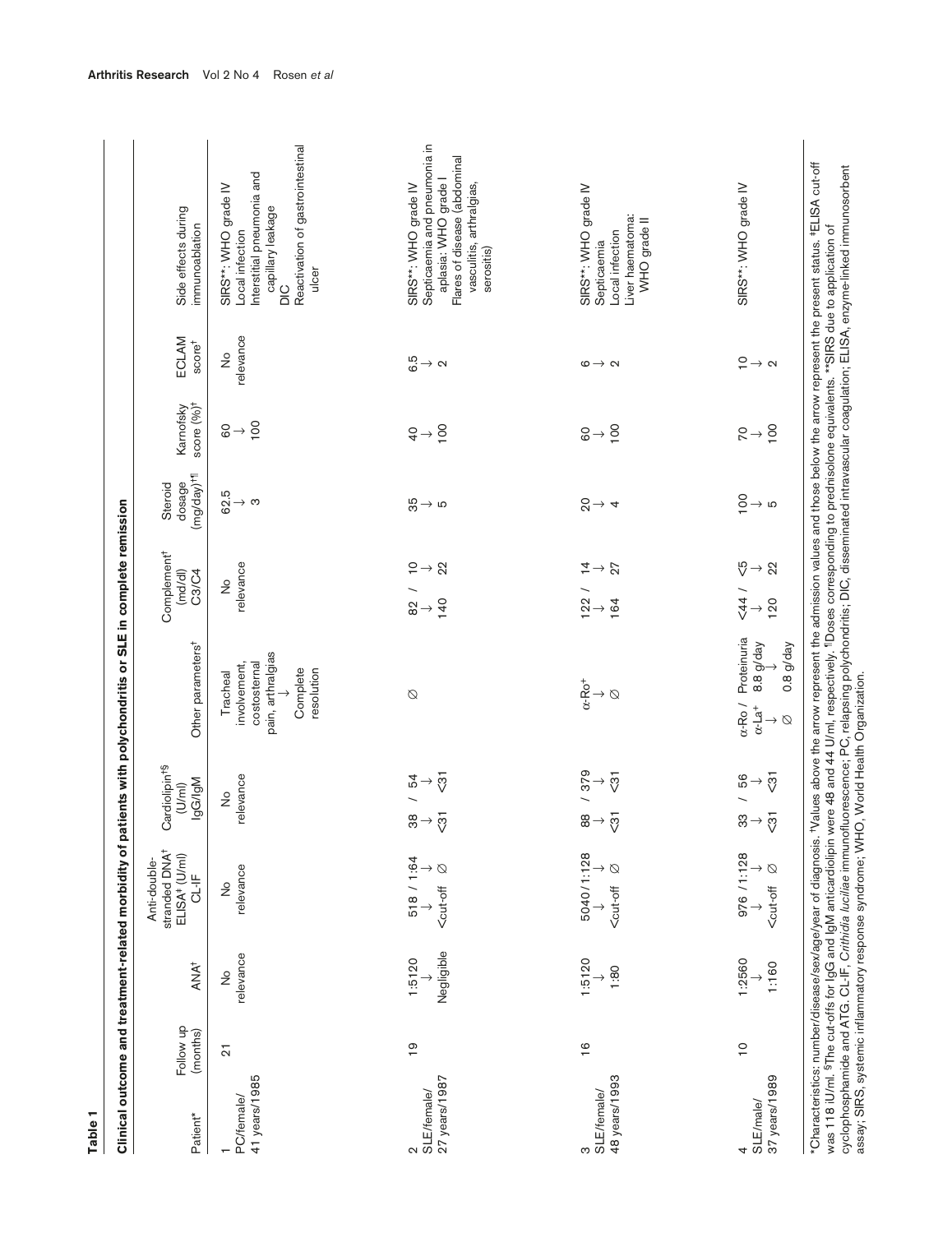| Table 1                           |                       |                      |                                                                                                                                                                                       |                                                                                                                                                        | Clinical outcome and treatment-related morbidity of patients with polychondritis or SLE in complete remission                                                                              |                                                                                                        |                                            |                                                                        |                                               |                                                                                                                                                                                                                                                                                                                               |
|-----------------------------------|-----------------------|----------------------|---------------------------------------------------------------------------------------------------------------------------------------------------------------------------------------|--------------------------------------------------------------------------------------------------------------------------------------------------------|--------------------------------------------------------------------------------------------------------------------------------------------------------------------------------------------|--------------------------------------------------------------------------------------------------------|--------------------------------------------|------------------------------------------------------------------------|-----------------------------------------------|-------------------------------------------------------------------------------------------------------------------------------------------------------------------------------------------------------------------------------------------------------------------------------------------------------------------------------|
| Patient*                          | Follow up<br>(months) | ANA <sup>+</sup>     | stranded DNA <sup>+</sup><br>$ELISA* (U/m)$<br>Anti-double-<br>CL-IF                                                                                                                  | Cardiolipin <sup>+§</sup><br>IgG/IgM<br>(U/m)                                                                                                          | Other parameters <sup>+</sup>                                                                                                                                                              | Complement<br>(md/dl)<br>C3/C4                                                                         | $\ln(\text{deg}(q)$<br>dosage<br>Steroid   | score $(96)^+$<br>Karnofsky                                            | ECLAM<br>score <sup>+</sup>                   | Side effects during<br>immunoablation                                                                                                                                                                                                                                                                                         |
| 41 years/1985<br>PC/female/       | $\overline{21}$       | relevance<br>ž       | relevance<br>$\frac{1}{2}$                                                                                                                                                            | relevance<br>$\frac{1}{2}$                                                                                                                             | pain, arthralgias<br>involvement,<br>costosternal<br>Complete<br>resolution<br>Tracheal                                                                                                    | relevance<br>$\frac{1}{2}$                                                                             | ნ<br>დ⊣ ო                                  | 100<br>$\stackrel{\textstyle \bigcirc}{\phantom{}_{\textstyle \circ}}$ | relevance<br>ş                                | Reactivation of gastrointestinal<br>Interstitial pneumonia and<br>SIRS**: WHO grade IV<br>capillary leakage<br>Local infection<br>ulcer<br>$\frac{0}{0}$                                                                                                                                                                      |
| 27 years/1987<br>2<br>SLE/female/ | $\frac{0}{1}$         | Negligible<br>1:5120 | $518 / 1:64$<br>$\downarrow$<br>$\downarrow$<br>$\heartsuit$                                                                                                                          | $\overline{3}$<br>$\begin{array}{c} 7 \\ 4 \end{array}$<br>$\overline{3}$<br>$\overset{\text{\tiny 0}}{\overset{\text{\tiny 0}}{\scriptstyle \infty}}$ | $\oslash$                                                                                                                                                                                  | $\Xi \rightarrow \Xi$<br>$\frac{1}{8}$ $\rightarrow$ $\frac{1}{2}$                                     | $\frac{10}{50}$ ს                          | $\frac{4}{5}$ $\rightarrow$ $\frac{5}{5}$                              | $\frac{5}{6}$ $\rightarrow$ $\alpha$          | Septicaemia and pneumonia in<br>Flares of disease (abdominal<br>aplasia: WHO grade I<br>vasculitis, arthralgias,<br>SIRS**: WHO grade IV<br>serositis)                                                                                                                                                                        |
| 48 years/1993<br>SLE/female/<br>ო | $\frac{6}{1}$         | 1:5120<br>1.80       | 5040/1:128<br>$\begin{array}{ccccc} &\downarrow & &\downarrow \\ & \downarrow & & \oslash \\ \text{Cult-off} & \oslash & \end{array}$                                                 | $\frac{88}{379}$<br>$\frac{379}{58}$<br>$\frac{379}{58}$                                                                                               | $\overset{\circ}{\text{e}} \overset{\circ}{\text{e}} \rightarrow \text{O}$                                                                                                                 | $\overline{4} \rightarrow \overline{5}$<br>$\begin{array}{c}\n 122 \\  \rightarrow \ 64\n \end{array}$ | $\stackrel{\textstyle \mathsf{Q}}{\sim}$ 4 | $\frac{6}{9}$ $\rightarrow$ $\frac{5}{9}$                              | $\circ \rightarrow \circ$                     | SIRS**: WHO grade IV<br>Liver haematoma:<br>WHO grade II<br>Local infection<br>Septicaemia                                                                                                                                                                                                                                    |
| 37 years/1989<br>SLE/male/<br>4   | $\frac{0}{1}$         | 1:2560<br>1:160      | 976 /1:128<br>$\begin{array}{ccccc}\n\downarrow & & \downarrow & & \downarrow \\ \downarrow & & \oslash & & \swarrow & \oslash \\ \downarrow & & \oslash & & \oslash & & \end{array}$ | $\overline{3}$<br>156<br>$\rightarrow$<br>33<br>$\overline{3}$<br>$\rightarrow$                                                                        | Proteinuria<br>8.8 g/day<br>$0.8$ g/day<br>$\alpha$ -Ro /<br>$\alpha$ -La <sup>+</sup><br>$\rightarrow \oslash$                                                                            | ζb<br>22<br>$\rightarrow$<br>441<br>120<br>$\rightarrow$                                               | $\frac{8}{10}$ מ                           | $R \rightarrow \frac{5}{2}$                                            | $\stackrel{\circ}{\sim}$ $\rightarrow$ $\sim$ | SIRS**: WHO grade IV                                                                                                                                                                                                                                                                                                          |
|                                   |                       |                      | assay; SIRS, systemic inflammatory response syndrome; WHO, World Health Organization.<br>*Characteristics: number/disease/sex/age/year of diagnosis.                                  |                                                                                                                                                        | was 118 iU/ml. <sup>s</sup> The cut-offs for IgG and IgM anticardiolipin were 48 and 44 U/ml, respectively. "Doses corresponding to prednisolone equivalents. **SIRS due to application of |                                                                                                        |                                            |                                                                        |                                               | *Values above the arrow represent the admission values and those below the arrow represent the present status. *ELISA cut-off<br>cyclophosphamide and ATG. CL-IF, <i>Crithidia luciliae</i> immunofluorescence; PC, relapsing polychondritis; DIC, disseminated intravascular coagulation; ELISA, enzyme-linked immunosorbent |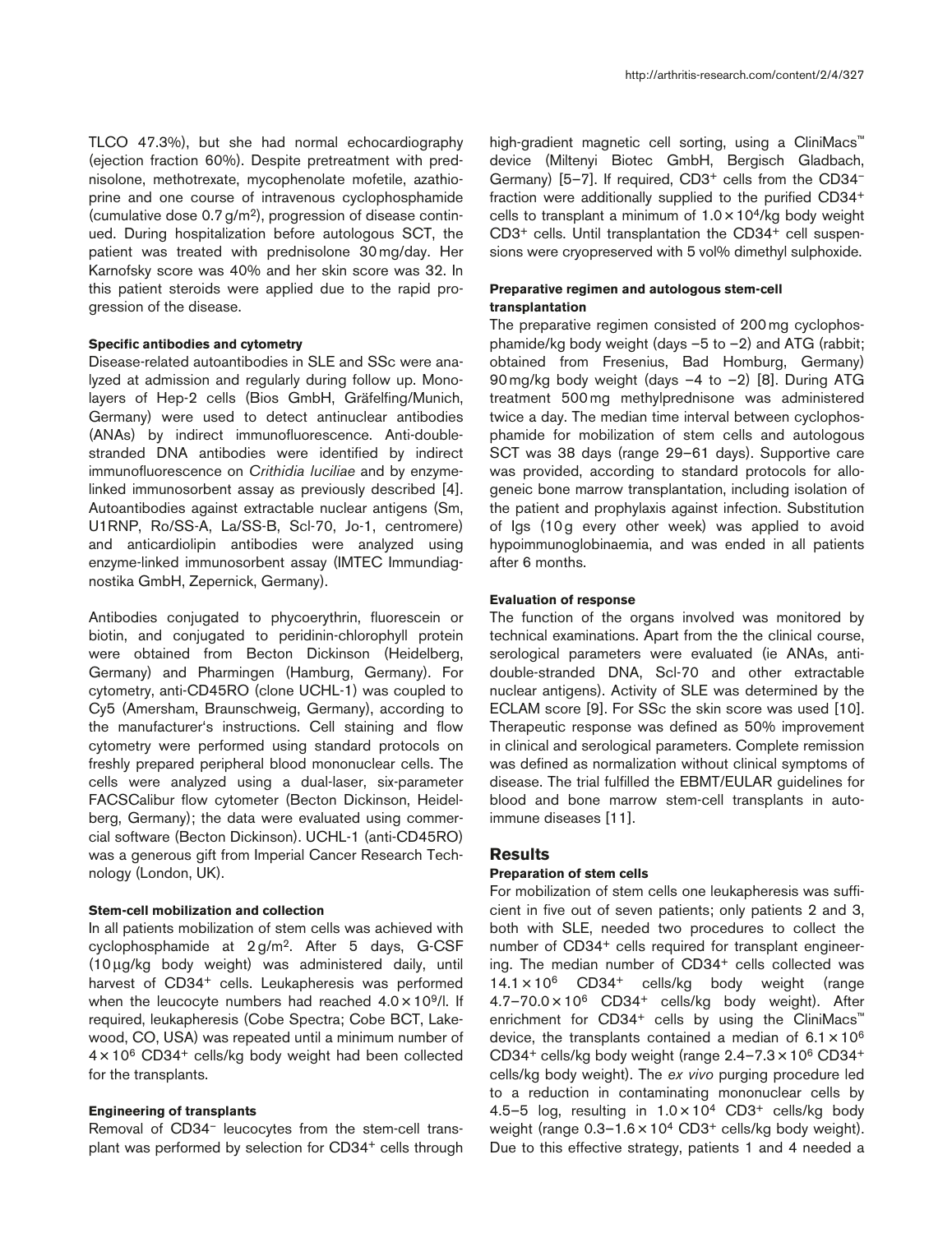TLCO 47.3%), but she had normal echocardiography (ejection fraction 60%). Despite pretreatment with prednisolone, methotrexate, mycophenolate mofetile, azathioprine and one course of intravenous cyclophosphamide (cumulative dose  $0.7 g/m<sup>2</sup>$ ), progression of disease continued. During hospitalization before autologous SCT, the patient was treated with prednisolone 30mg/day. Her Karnofsky score was 40% and her skin score was 32. In this patient steroids were applied due to the rapid progression of the disease.

#### **Specific antibodies and cytometry**

Disease-related autoantibodies in SLE and SSc were analyzed at admission and regularly during follow up. Monolayers of Hep-2 cells (Bios GmbH, Gräfelfing/Munich, Germany) were used to detect antinuclear antibodies (ANAs) by indirect immunofluorescence. Anti-doublestranded DNA antibodies were identified by indirect immunofluorescence on *Crithidia luciliae* and by enzymelinked immunosorbent assay as previously described [4]. Autoantibodies against extractable nuclear antigens (Sm, U1RNP, Ro/SS-A, La/SS-B, Scl-70, Jo-1, centromere) and anticardiolipin antibodies were analyzed using enzyme-linked immunosorbent assay (IMTEC Immundiagnostika GmbH, Zepernick, Germany).

Antibodies conjugated to phycoerythrin, fluorescein or biotin, and conjugated to peridinin-chlorophyll protein were obtained from Becton Dickinson (Heidelberg, Germany) and Pharmingen (Hamburg, Germany). For cytometry, anti-CD45RO (clone UCHL-1) was coupled to Cy5 (Amersham, Braunschweig, Germany), according to the manufacturer's instructions. Cell staining and flow cytometry were performed using standard protocols on freshly prepared peripheral blood mononuclear cells. The cells were analyzed using a dual-laser, six-parameter FACSCalibur flow cytometer (Becton Dickinson, Heidelberg, Germany); the data were evaluated using commercial software (Becton Dickinson). UCHL-1 (anti-CD45RO) was a generous gift from Imperial Cancer Research Technology (London, UK).

#### **Stem-cell mobilization and collection**

In all patients mobilization of stem cells was achieved with cyclophosphamide at 2g/m2. After 5 days, G-CSF (10µg/kg body weight) was administered daily, until harvest of CD34<sup>+</sup> cells. Leukapheresis was performed when the leucocyte numbers had reached  $4.0 \times 10^9$ /l. If required, leukapheresis (Cobe Spectra; Cobe BCT, Lakewood, CO, USA) was repeated until a minimum number of  $4 \times 10^6$  CD34<sup>+</sup> cells/kg body weight had been collected for the transplants.

#### **Engineering of transplants**

Removal of CD34– leucocytes from the stem-cell transplant was performed by selection for CD34+ cells through high-gradient magnetic cell sorting, using a CliniMacs™ device (Miltenyi Biotec GmbH, Bergisch Gladbach, Germany) [5–7]. If required, CD3+ cells from the CD34– fraction were additionally supplied to the purified CD34+ cells to transplant a minimum of  $1.0 \times 10^4$ /kg body weight CD3+ cells. Until transplantation the CD34+ cell suspensions were cryopreserved with 5 vol% dimethyl sulphoxide.

#### **Preparative regimen and autologous stem-cell transplantation**

The preparative regimen consisted of 200mg cyclophosphamide/kg body weight (days  $-5$  to  $-2$ ) and ATG (rabbit; obtained from Fresenius, Bad Homburg, Germany) 90mg/kg body weight (days –4 to –2) [8]. During ATG treatment 500mg methylprednisone was administered twice a day. The median time interval between cyclophosphamide for mobilization of stem cells and autologous SCT was 38 days (range 29–61 days). Supportive care was provided, according to standard protocols for allogeneic bone marrow transplantation, including isolation of the patient and prophylaxis against infection. Substitution of Igs (10g every other week) was applied to avoid hypoimmunoglobinaemia, and was ended in all patients after 6 months.

#### **Evaluation of response**

The function of the organs involved was monitored by technical examinations. Apart from the the clinical course, serological parameters were evaluated (ie ANAs, antidouble-stranded DNA, Scl-70 and other extractable nuclear antigens). Activity of SLE was determined by the ECLAM score [9]. For SSc the skin score was used [10]. Therapeutic response was defined as 50% improvement in clinical and serological parameters. Complete remission was defined as normalization without clinical symptoms of disease. The trial fulfilled the EBMT/EULAR guidelines for blood and bone marrow stem-cell transplants in autoimmune diseases [11].

#### **Results**

#### **Preparation of stem cells**

For mobilization of stem cells one leukapheresis was sufficient in five out of seven patients; only patients 2 and 3, both with SLE, needed two procedures to collect the number of CD34+ cells required for transplant engineering. The median number of CD34+ cells collected was 14.1×106 CD34+ cells/kg body weight (range 4.7–70.0×106 CD34+ cells/kg body weight). After enrichment for CD34<sup>+</sup> cells by using the CliniMacs<sup>™</sup> device, the transplants contained a median of  $6.1 \times 10^6$ CD34<sup>+</sup> cells/kg body weight (range  $2.4 - 7.3 \times 10^6$  CD34<sup>+</sup> cells/kg body weight). The *ex vivo* purging procedure led to a reduction in contaminating mononuclear cells by 4.5–5 log, resulting in 1.0×104 CD3+ cells/kg body weight (range  $0.3-1.6 \times 10^4$  CD3<sup>+</sup> cells/kg body weight). Due to this effective strategy, patients 1 and 4 needed a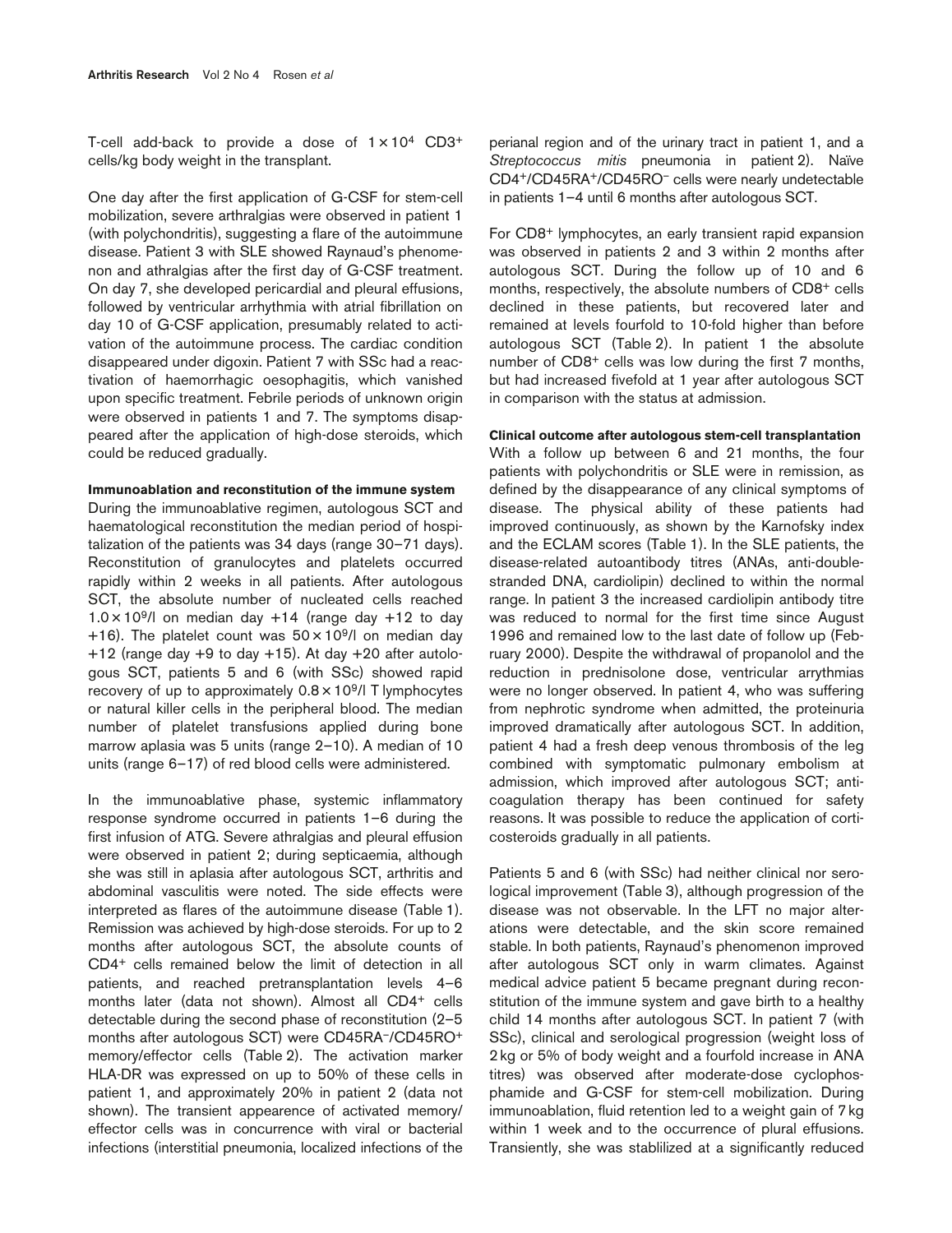T-cell add-back to provide a dose of  $1 \times 10^4$  CD3<sup>+</sup> cells/kg body weight in the transplant.

One day after the first application of G-CSF for stem-cell mobilization, severe arthralgias were observed in patient 1 (with polychondritis), suggesting a flare of the autoimmune disease. Patient 3 with SLE showed Raynaud's phenomenon and athralgias after the first day of G-CSF treatment. On day 7, she developed pericardial and pleural effusions, followed by ventricular arrhythmia with atrial fibrillation on day 10 of G-CSF application, presumably related to activation of the autoimmune process. The cardiac condition disappeared under digoxin. Patient 7 with SSc had a reactivation of haemorrhagic oesophagitis, which vanished upon specific treatment. Febrile periods of unknown origin were observed in patients 1 and 7. The symptoms disappeared after the application of high-dose steroids, which could be reduced gradually.

#### **Immunoablation and reconstitution of the immune system**

During the immunoablative regimen, autologous SCT and haematological reconstitution the median period of hospitalization of the patients was 34 days (range 30–71 days). Reconstitution of granulocytes and platelets occurred rapidly within 2 weeks in all patients. After autologous SCT, the absolute number of nucleated cells reached  $1.0 \times 10^9$ /l on median day +14 (range day +12 to day +16). The platelet count was  $50 \times 10^9$ /l on median day  $+12$  (range day  $+9$  to day  $+15$ ). At day  $+20$  after autologous SCT, patients 5 and 6 (with SSc) showed rapid recovery of up to approximately  $0.8 \times 10^9$ /l T lymphocytes or natural killer cells in the peripheral blood. The median number of platelet transfusions applied during bone marrow aplasia was 5 units (range 2–10). A median of 10 units (range 6–17) of red blood cells were administered.

In the immunoablative phase, systemic inflammatory response syndrome occurred in patients 1–6 during the first infusion of ATG. Severe athralgias and pleural effusion were observed in patient 2; during septicaemia, although she was still in aplasia after autologous SCT, arthritis and abdominal vasculitis were noted. The side effects were interpreted as flares of the autoimmune disease (Table 1). Remission was achieved by high-dose steroids. For up to 2 months after autologous SCT, the absolute counts of CD4+ cells remained below the limit of detection in all patients, and reached pretransplantation levels 4–6 months later (data not shown). Almost all CD4+ cells detectable during the second phase of reconstitution (2–5 months after autologous SCT) were CD45RA–/CD45RO+ memory/effector cells (Table 2). The activation marker HLA-DR was expressed on up to 50% of these cells in patient 1, and approximately 20% in patient 2 (data not shown). The transient appearence of activated memory/ effector cells was in concurrence with viral or bacterial infections (interstitial pneumonia, localized infections of the

perianal region and of the urinary tract in patient 1, and a *Streptococcus mitis* pneumonia in patient 2). Naïve CD4+/CD45RA+/CD45RO– cells were nearly undetectable in patients 1–4 until 6 months after autologous SCT.

For CD8+ lymphocytes, an early transient rapid expansion was observed in patients 2 and 3 within 2 months after autologous SCT. During the follow up of 10 and 6 months, respectively, the absolute numbers of CD8+ cells declined in these patients, but recovered later and remained at levels fourfold to 10-fold higher than before autologous SCT (Table 2). In patient 1 the absolute number of CD8<sup>+</sup> cells was low during the first 7 months, but had increased fivefold at 1 year after autologous SCT in comparison with the status at admission.

**Clinical outcome after autologous stem-cell transplantation** With a follow up between 6 and 21 months, the four patients with polychondritis or SLE were in remission, as defined by the disappearance of any clinical symptoms of disease. The physical ability of these patients had improved continuously, as shown by the Karnofsky index and the ECLAM scores (Table 1). In the SLE patients, the disease-related autoantibody titres (ANAs, anti-doublestranded DNA, cardiolipin) declined to within the normal range. In patient 3 the increased cardiolipin antibody titre was reduced to normal for the first time since August 1996 and remained low to the last date of follow up (February 2000). Despite the withdrawal of propanolol and the reduction in prednisolone dose, ventricular arrythmias were no longer observed. In patient 4, who was suffering from nephrotic syndrome when admitted, the proteinuria improved dramatically after autologous SCT. In addition, patient 4 had a fresh deep venous thrombosis of the leg combined with symptomatic pulmonary embolism at admission, which improved after autologous SCT; anticoagulation therapy has been continued for safety reasons. It was possible to reduce the application of corticosteroids gradually in all patients.

Patients 5 and 6 (with SSc) had neither clinical nor serological improvement (Table 3), although progression of the disease was not observable. In the LFT no major alterations were detectable, and the skin score remained stable. In both patients, Raynaud's phenomenon improved after autologous SCT only in warm climates. Against medical advice patient 5 became pregnant during reconstitution of the immune system and gave birth to a healthy child 14 months after autologous SCT. In patient 7 (with SSc), clinical and serological progression (weight loss of 2kg or 5% of body weight and a fourfold increase in ANA titres) was observed after moderate-dose cyclophosphamide and G-CSF for stem-cell mobilization. During immunoablation, fluid retention led to a weight gain of 7kg within 1 week and to the occurrence of plural effusions. Transiently, she was stablilized at a significantly reduced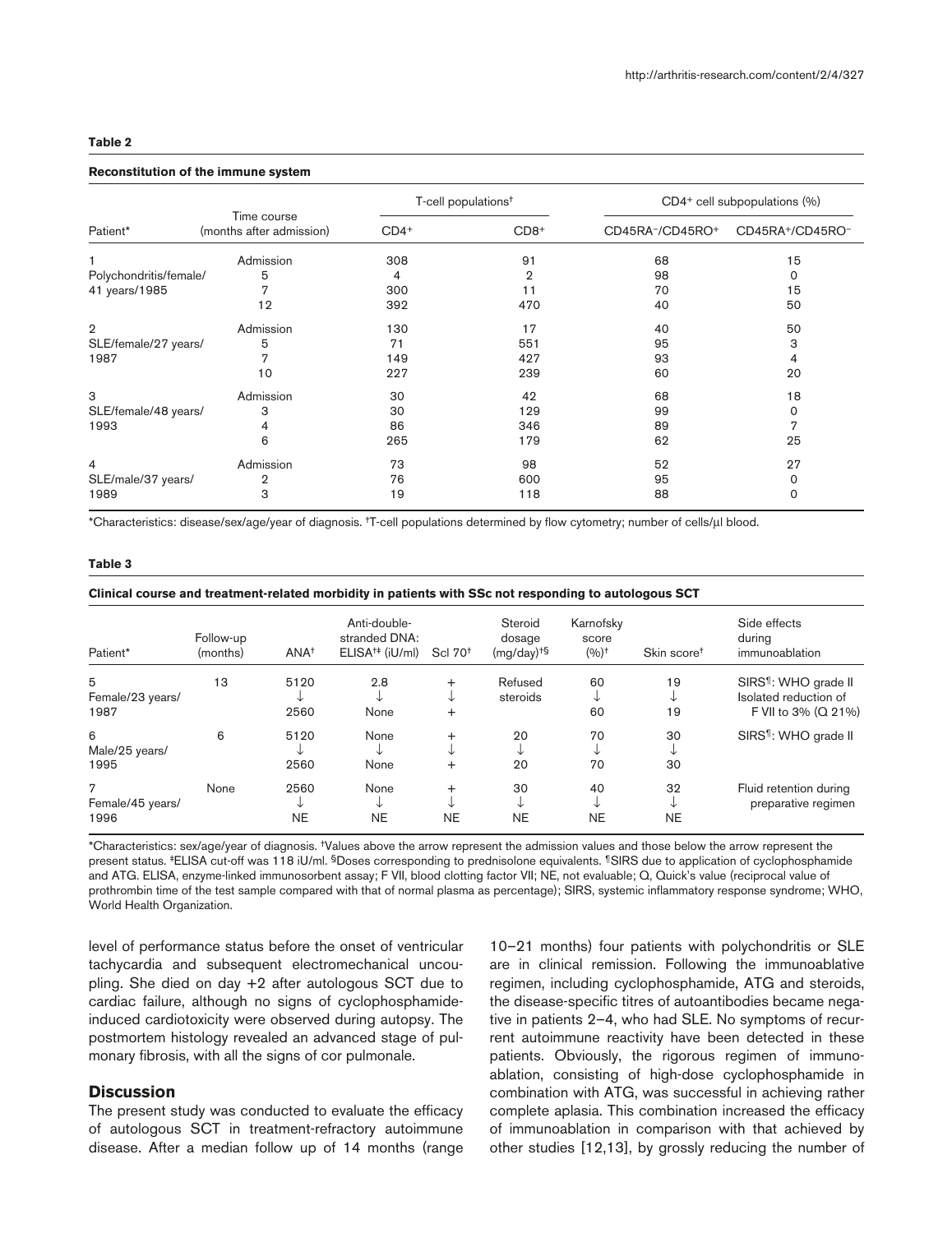#### **Table 2**

#### **Reconstitution of the immune system**

|                        |                                         |        | T-cell populations <sup>+</sup> | CD4 <sup>+</sup> cell subpopulations (%) |                 |  |
|------------------------|-----------------------------------------|--------|---------------------------------|------------------------------------------|-----------------|--|
| Patient*               | Time course<br>(months after admission) | $CD4+$ | $CD8+$                          | CD45RA-/CD45RO+                          | CD45RA+/CD45RO- |  |
| 1                      | Admission                               | 308    | 91                              | 68                                       | 15              |  |
| Polychondritis/female/ | 5                                       | 4      | $\overline{2}$                  | 98                                       | 0               |  |
| 41 years/1985          |                                         | 300    | 11                              | 70                                       | 15              |  |
|                        | 12                                      | 392    | 470                             | 40                                       | 50              |  |
| $\overline{2}$         | Admission                               | 130    | 17                              | 40                                       | 50              |  |
| SLE/female/27 years/   | 5                                       | 71     | 551                             | 95                                       | 3               |  |
| 1987                   | 7                                       | 149    | 427                             | 93                                       | 4               |  |
|                        | 10                                      | 227    | 239                             | 60                                       | 20              |  |
| 3                      | Admission                               | 30     | 42                              | 68                                       | 18              |  |
| SLE/female/48 years/   | 3                                       | 30     | 129                             | 99                                       | 0               |  |
| 1993                   | 4                                       | 86     | 346                             | 89                                       | 7               |  |
|                        | 6                                       | 265    | 179                             | 62                                       | 25              |  |
| $\overline{4}$         | Admission                               | 73     | 98                              | 52                                       | 27              |  |
| SLE/male/37 years/     | 2                                       | 76     | 600                             | 95                                       | 0               |  |
| 1989                   | 3                                       | 19     | 118                             | 88                                       | $\mathbf 0$     |  |

\*Characteristics: disease/sex/age/year of diagnosis. †T-cell populations determined by flow cytometry; number of cells/µl blood.

#### **Table 3**

#### **Clinical course and treatment-related morbidity in patients with SSc not responding to autologous SCT**

| Patient*                      | Follow-up<br>(months) | ANA <sup>+</sup>       | Anti-double-<br>stranded DNA:<br>$ELISA^{++}$ ( $iU/ml$ ) | $ScI$ $70^{\dagger}$ | Steroid<br>dosage<br>$(mq/day)^{+S}$ | Karnofsky<br>score<br>$(9/6)$ <sup>+</sup> | Skin score <sup>+</sup> | Side effects<br>during<br>immunoablation                                         |
|-------------------------------|-----------------------|------------------------|-----------------------------------------------------------|----------------------|--------------------------------------|--------------------------------------------|-------------------------|----------------------------------------------------------------------------------|
| 5<br>Female/23 years/<br>1987 | 13                    | 5120<br>◡<br>2560      | 2.8<br>None                                               | +<br>$\hbox{ }$      | Refused<br>steroids                  | 60<br>60                                   | 19<br>19                | SIRS <sup>1</sup> : WHO grade II<br>Isolated reduction of<br>F VII to 3% (Q 21%) |
| 6<br>Male/25 years/<br>1995   | 6                     | 5120<br>2560           | None<br>◡<br>None                                         | +<br>$\ddot{}$       | 20<br>20                             | 70<br>70                                   | 30<br>30                | SIRS <sup>1</sup> : WHO grade II                                                 |
| 7<br>Female/45 years/<br>1996 | None                  | 2560<br>◡<br><b>NE</b> | None<br>◡<br><b>NE</b>                                    | $\,{}^+$<br>ΝE.      | 30<br><b>NE</b>                      | 40<br><b>NE</b>                            | 32<br>◡<br><b>NE</b>    | Fluid retention during<br>preparative regimen                                    |

\*Characteristics: sex/age/year of diagnosis. †Values above the arrow represent the admission values and those below the arrow represent the present status. <sup>‡</sup>ELISA cut-off was 118 iU/ml. <sup>§</sup>Doses corresponding to prednisolone equivalents. <sup>¶</sup>SIRS due to application of cyclophosphamide and ATG. ELISA, enzyme-linked immunosorbent assay; F VII, blood clotting factor VII; NE, not evaluable; Q, Quick's value (reciprocal value of prothrombin time of the test sample compared with that of normal plasma as percentage); SIRS, systemic inflammatory response syndrome; WHO, World Health Organization.

level of performance status before the onset of ventricular tachycardia and subsequent electromechanical uncoupling. She died on day +2 after autologous SCT due to cardiac failure, although no signs of cyclophosphamideinduced cardiotoxicity were observed during autopsy. The postmortem histology revealed an advanced stage of pulmonary fibrosis, with all the signs of cor pulmonale.

## **Discussion**

The present study was conducted to evaluate the efficacy of autologous SCT in treatment-refractory autoimmune disease. After a median follow up of 14 months (range

10–21 months) four patients with polychondritis or SLE are in clinical remission. Following the immunoablative regimen, including cyclophosphamide, ATG and steroids, the disease-specific titres of autoantibodies became negative in patients 2–4, who had SLE. No symptoms of recurrent autoimmune reactivity have been detected in these patients. Obviously, the rigorous regimen of immunoablation, consisting of high-dose cyclophosphamide in combination with ATG, was successful in achieving rather complete aplasia. This combination increased the efficacy of immunoablation in comparison with that achieved by other studies [12,13], by grossly reducing the number of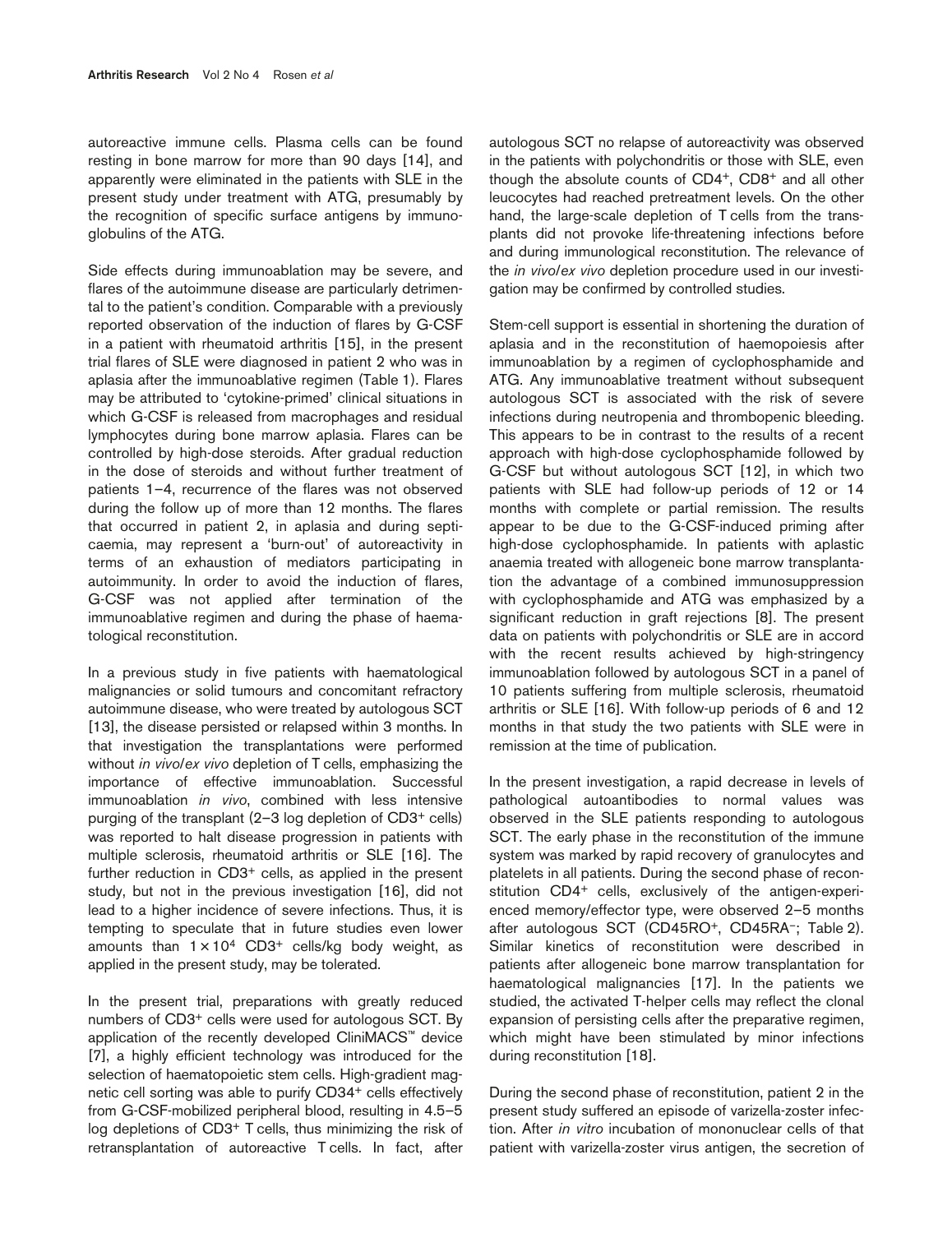autoreactive immune cells. Plasma cells can be found resting in bone marrow for more than 90 days [14], and apparently were eliminated in the patients with SLE in the present study under treatment with ATG, presumably by the recognition of specific surface antigens by immunoglobulins of the ATG.

Side effects during immunoablation may be severe, and flares of the autoimmune disease are particularly detrimental to the patient's condition. Comparable with a previously reported observation of the induction of flares by G-CSF in a patient with rheumatoid arthritis [15], in the present trial flares of SLE were diagnosed in patient 2 who was in aplasia after the immunoablative regimen (Table 1). Flares may be attributed to 'cytokine-primed' clinical situations in which G-CSF is released from macrophages and residual lymphocytes during bone marrow aplasia. Flares can be controlled by high-dose steroids. After gradual reduction in the dose of steroids and without further treatment of patients 1–4, recurrence of the flares was not observed during the follow up of more than 12 months. The flares that occurred in patient 2, in aplasia and during septicaemia, may represent a 'burn-out' of autoreactivity in terms of an exhaustion of mediators participating in autoimmunity. In order to avoid the induction of flares, G-CSF was not applied after termination of the immunoablative regimen and during the phase of haematological reconstitution.

In a previous study in five patients with haematological malignancies or solid tumours and concomitant refractory autoimmune disease, who were treated by autologous SCT [13], the disease persisted or relapsed within 3 months. In that investigation the transplantations were performed without *in vivo*/*ex vivo* depletion of T cells, emphasizing the importance of effective immunoablation. Successful immunoablation *in vivo*, combined with less intensive purging of the transplant (2–3 log depletion of CD3+ cells) was reported to halt disease progression in patients with multiple sclerosis, rheumatoid arthritis or SLE [16]. The further reduction in CD3<sup>+</sup> cells, as applied in the present study, but not in the previous investigation [16], did not lead to a higher incidence of severe infections. Thus, it is tempting to speculate that in future studies even lower amounts than  $1 \times 10^4$  CD3<sup>+</sup> cells/kg body weight, as applied in the present study, may be tolerated.

In the present trial, preparations with greatly reduced numbers of CD3<sup>+</sup> cells were used for autologous SCT. By application of the recently developed CliniMACS™ device [7], a highly efficient technology was introduced for the selection of haematopoietic stem cells. High-gradient magnetic cell sorting was able to purify CD34+ cells effectively from G-CSF-mobilized peripheral blood, resulting in 4.5–5 log depletions of CD3+ T cells, thus minimizing the risk of retransplantation of autoreactive T cells. In fact, after autologous SCT no relapse of autoreactivity was observed in the patients with polychondritis or those with SLE, even though the absolute counts of CD4+, CD8+ and all other leucocytes had reached pretreatment levels. On the other hand, the large-scale depletion of T cells from the transplants did not provoke life-threatening infections before and during immunological reconstitution. The relevance of the *in vivo*/*ex vivo* depletion procedure used in our investigation may be confirmed by controlled studies.

Stem-cell support is essential in shortening the duration of aplasia and in the reconstitution of haemopoiesis after immunoablation by a regimen of cyclophosphamide and ATG. Any immunoablative treatment without subsequent autologous SCT is associated with the risk of severe infections during neutropenia and thrombopenic bleeding. This appears to be in contrast to the results of a recent approach with high-dose cyclophosphamide followed by G-CSF but without autologous SCT [12], in which two patients with SLE had follow-up periods of 12 or 14 months with complete or partial remission. The results appear to be due to the G-CSF-induced priming after high-dose cyclophosphamide. In patients with aplastic anaemia treated with allogeneic bone marrow transplantation the advantage of a combined immunosuppression with cyclophosphamide and ATG was emphasized by a significant reduction in graft rejections [8]. The present data on patients with polychondritis or SLE are in accord with the recent results achieved by high-stringency immunoablation followed by autologous SCT in a panel of 10 patients suffering from multiple sclerosis, rheumatoid arthritis or SLE [16]. With follow-up periods of 6 and 12 months in that study the two patients with SLE were in remission at the time of publication.

In the present investigation, a rapid decrease in levels of pathological autoantibodies to normal values was observed in the SLE patients responding to autologous SCT. The early phase in the reconstitution of the immune system was marked by rapid recovery of granulocytes and platelets in all patients. During the second phase of reconstitution CD4+ cells, exclusively of the antigen-experienced memory/effector type, were observed 2–5 months after autologous SCT (CD45RO+, CD45RA–; Table 2). Similar kinetics of reconstitution were described in patients after allogeneic bone marrow transplantation for haematological malignancies [17]. In the patients we studied, the activated T-helper cells may reflect the clonal expansion of persisting cells after the preparative regimen, which might have been stimulated by minor infections during reconstitution [18].

During the second phase of reconstitution, patient 2 in the present study suffered an episode of varizella-zoster infection. After *in vitro* incubation of mononuclear cells of that patient with varizella-zoster virus antigen, the secretion of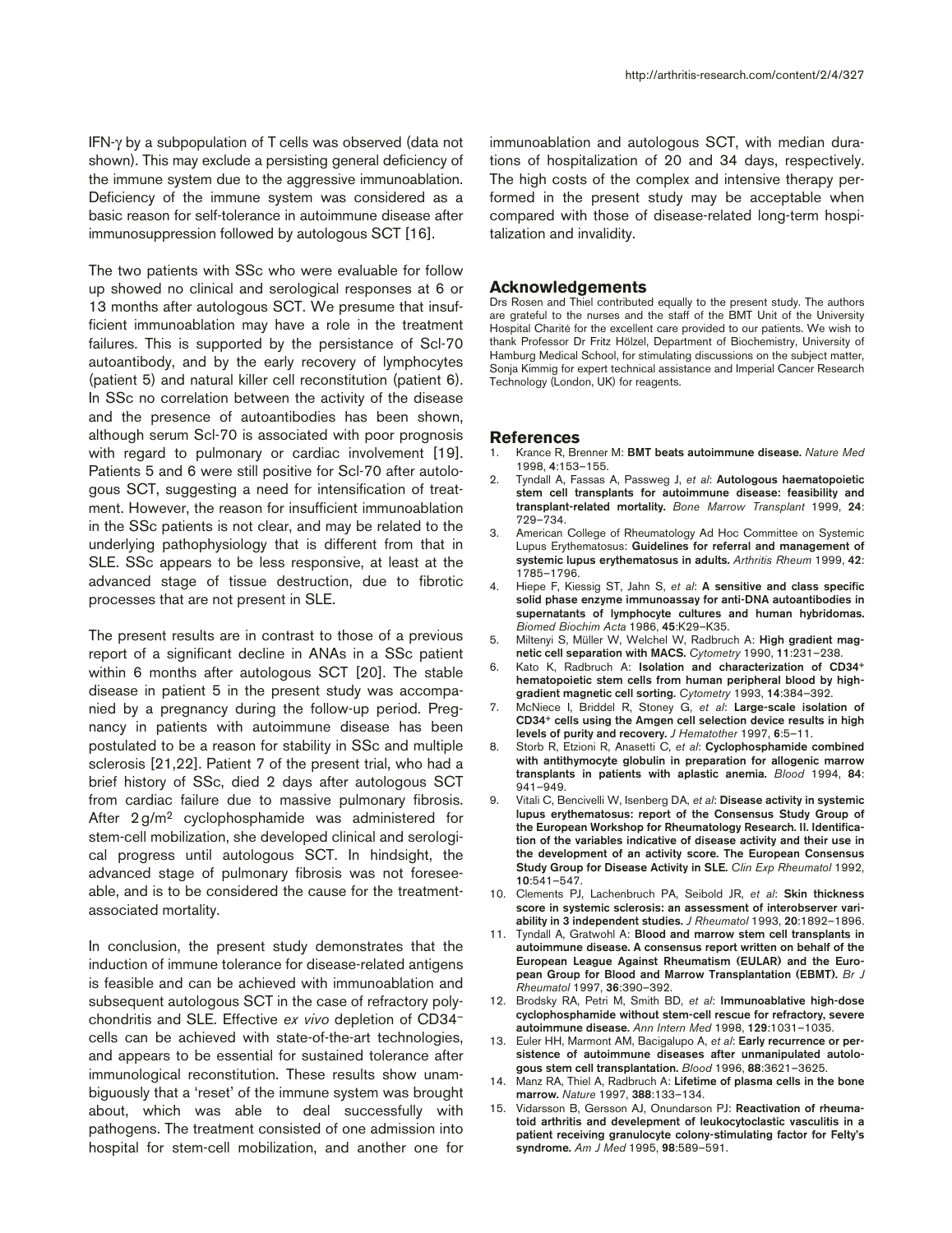IFN-γ by a subpopulation of T cells was observed (data not shown). This may exclude a persisting general deficiency of the immune system due to the aggressive immunoablation. Deficiency of the immune system was considered as a basic reason for self-tolerance in autoimmune disease after immunosuppression followed by autologous SCT [16].

The two patients with SSc who were evaluable for follow up showed no clinical and serological responses at 6 or 13 months after autologous SCT. We presume that insufficient immunoablation may have a role in the treatment failures. This is supported by the persistance of Scl-70 autoantibody, and by the early recovery of lymphocytes (patient 5) and natural killer cell reconstitution (patient 6). In SSc no correlation between the activity of the disease and the presence of autoantibodies has been shown, although serum Scl-70 is associated with poor prognosis with regard to pulmonary or cardiac involvement [19]. Patients 5 and 6 were still positive for Scl-70 after autologous SCT, suggesting a need for intensification of treatment. However, the reason for insufficient immunoablation in the SSc patients is not clear, and may be related to the underlying pathophysiology that is different from that in SLE. SSc appears to be less responsive, at least at the advanced stage of tissue destruction, due to fibrotic processes that are not present in SLE.

The present results are in contrast to those of a previous report of a significant decline in ANAs in a SSc patient within 6 months after autologous SCT [20]. The stable disease in patient 5 in the present study was accompanied by a pregnancy during the follow-up period. Pregnancy in patients with autoimmune disease has been postulated to be a reason for stability in SSc and multiple sclerosis [21,22]. Patient 7 of the present trial, who had a brief history of SSc, died 2 days after autologous SCT from cardiac failure due to massive pulmonary fibrosis. After 2g/m<sup>2</sup> cyclophosphamide was administered for stem-cell mobilization, she developed clinical and serological progress until autologous SCT. In hindsight, the advanced stage of pulmonary fibrosis was not foreseeable, and is to be considered the cause for the treatmentassociated mortality.

In conclusion, the present study demonstrates that the induction of immune tolerance for disease-related antigens is feasible and can be achieved with immunoablation and subsequent autologous SCT in the case of refractory polychondritis and SLE. Effective *ex vivo* depletion of CD34– cells can be achieved with state-of-the-art technologies, and appears to be essential for sustained tolerance after immunological reconstitution. These results show unambiguously that a 'reset' of the immune system was brought about, which was able to deal successfully with pathogens. The treatment consisted of one admission into hospital for stem-cell mobilization, and another one for

immunoablation and autologous SCT, with median durations of hospitalization of 20 and 34 days, respectively. The high costs of the complex and intensive therapy performed in the present study may be acceptable when compared with those of disease-related long-term hospitalization and invalidity.

### **Acknowledgements**

Drs Rosen and Thiel contributed equally to the present study. The authors are grateful to the nurses and the staff of the BMT Unit of the University Hospital Charité for the excellent care provided to our patients. We wish to thank Professor Dr Fritz Hölzel, Department of Biochemistry, University of Hamburg Medical School, for stimulating discussions on the subject matter, Sonja Kimmig for expert technical assistance and Imperial Cancer Research Technology (London, UK) for reagents.

#### **References**

- 1. Krance R, Brenner M: **BMT beats autoimmune disease.** *Nature Med* 1998, **4**:153–155.
- 2. Tyndall A, Fassas A, Passweg J, *et al*: **Autologous haematopoietic stem cell transplants for autoimmune disease: feasibility and transplant-related mortality.** *Bone Marrow Transplant* 1999, **24**: 729–734.
- 3. American College of Rheumatology Ad Hoc Committee on Systemic Lupus Erythematosus: **Guidelines for referral and management of systemic lupus erythematosus in adults.** *Arthritis Rheum* 1999, **42**: 1785–1796.
- 4. Hiepe F, Kiessig ST, Jahn S, *et al*: **A sensitive and class specific solid phase enzyme immunoassay for anti-DNA autoantibodies in supernatants of lymphocyte cultures and human hybridomas.** *Biomed Biochim Acta* 1986, **45**:K29–K35.
- 5. Miltenyi S, Müller W, Welchel W, Radbruch A: **High gradient magnetic cell separation with MACS.** *Cytometry* 1990, **11**:231–238.
- 6. Kato K, Radbruch A: **Isolation and characterization of CD34+ hematopoietic stem cells from human peripheral blood by highgradient magnetic cell sorting.** *Cytometry* 1993, **14**:384–392.
- 7. McNiece I, Briddel R, Stoney G, *et al*: **Large-scale isolation of CD34+ cells using the Amgen cell selection device results in high levels of purity and recovery.** *J Hematother* 1997, **6**:5–11.
- 8. Storb R, Etzioni R, Anasetti C, *et al*: **Cyclophosphamide combined with antithymocyte globulin in preparation for allogenic marrow transplants in patients with aplastic anemia.** *Blood* 1994, **84**: 941–949.
- 9. Vitali C, Bencivelli W, Isenberg DA, *et al*: **Disease activity in systemic lupus erythematosus: report of the Consensus Study Group of the European Workshop for Rheumatology Research. II. Identification of the variables indicative of disease activity and their use in the development of an activity score. The European Consensus Study Group for Disease Activity in SLE.** *Clin Exp Rheumatol* 1992, **10**:541–547.
- 10. Clements PJ, Lachenbruch PA, Seibold JR, *et al*: **Skin thickness score in systemic sclerosis: an assessment of interobserver variability in 3 independent studies.** *J Rheumatol* 1993, **20**:1892–1896.
- 11. Tyndall A, Gratwohl A: **Blood and marrow stem cell transplants in autoimmune disease. A consensus report written on behalf of the European League Against Rheumatism (EULAR) and the European Group for Blood and Marrow Transplantation (EBMT).** *Br J Rheumatol* 1997, **36**:390–392.
- 12. Brodsky RA, Petri M, Smith BD, *et al*: **Immunoablative high-dose cyclophosphamide without stem-cell rescue for refractory, severe autoimmune disease.** *Ann Intern Med* 1998, **129**:1031–1035.
- 13. Euler HH, Marmont AM, Bacigalupo A, *et al*: **Early recurrence or persistence of autoimmune diseases after unmanipulated autologous stem cell transplantation.** *Blood* 1996, **88**:3621–3625.
- 14. Manz RA, Thiel A, Radbruch A: **Lifetime of plasma cells in the bone marrow.** *Nature* 1997, **388**:133–134.
- 15. Vidarsson B, Gersson AJ, Onundarson PJ: **Reactivation of rheumatoid arthritis and develepment of leukocytoclastic vasculitis in a patient receiving granulocyte colony-stimulating factor for Felty's syndrome.** *Am J Med* 1995, **98**:589–591.